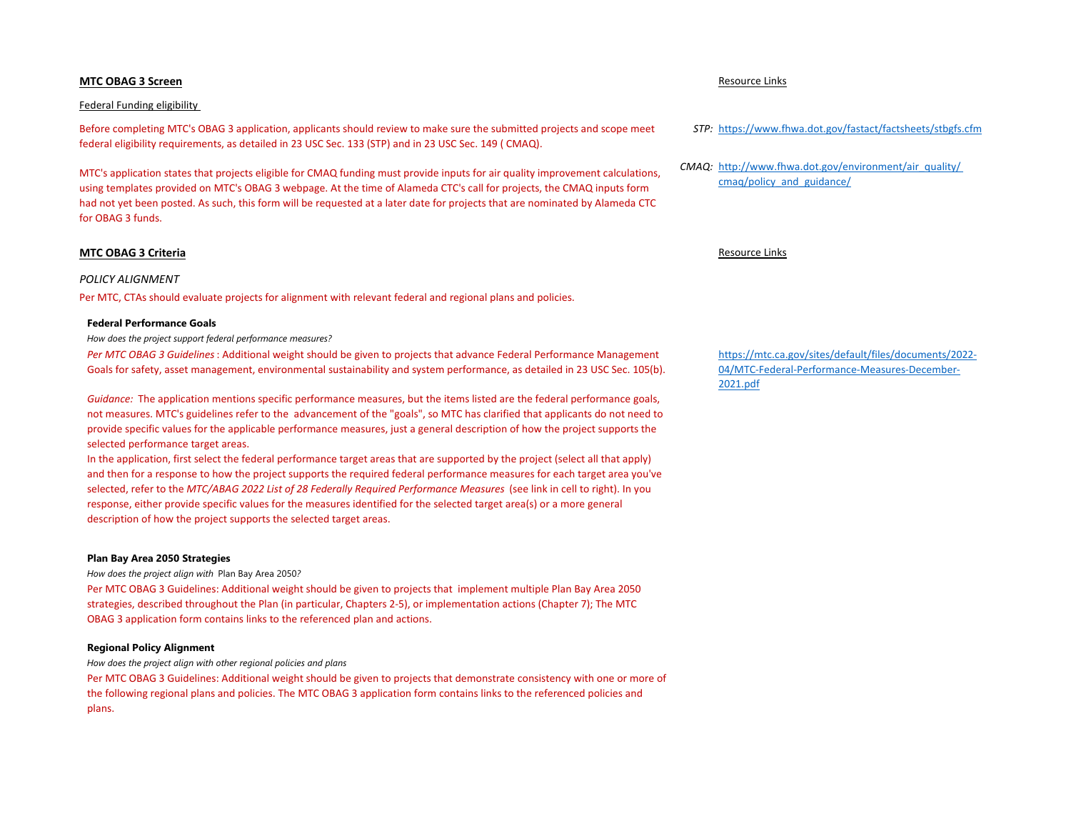# **MTC OBAG 3 Screen** Resource Links

### Federal Funding eligibility

Before completing MTC's OBAG 3 application, applicants should review to make sure the submitted projects and scope meet federal eligibility requirements, as detailed in 23 USC Sec. 133 (STP) and in 23 USC Sec. 149 ( CMAQ).

MTC's application states that projects eligible for CMAQ funding must provide inputs for air quality improvement calculations, using templates provided on MTC's OBAG 3 webpage. At the time of Alameda CTC's call for projects, the CMAQ inputs form had not yet been posted. As such, this form will be requested at a later date for projects that are nominated by Alameda CTC for OBAG 3 funds.

## **MTC OBAG 3 Criteria** Resource Links

### *POLICY ALIGNMENT*

Per MTC, CTAs should evaluate projects for alignment with relevant federal and regional plans and policies.

## **Federal Performance Goals**

*How does the project support federal performance measures?*

*Per MTC OBAG 3 Guidelines*: Additional weight should be given to projects that advance Federal Performance Management Goals for safety, asset management, environmental sustainability and system performance, as detailed in 23 USC Sec. 105(b).

*Guidance:* The application mentions specific performance measures, but the items listed are the federal performance goals, not measures. MTC's guidelines refer to the advancement of the "goals", so MTC has clarified that applicants do not need to provide specific values for the applicable performance measures, just a general description of how the project supports the selected performance target areas.

In the application, first select the federal performance target areas that are supported by the project (select all that apply) and then for a response to how the project supports the required federal performance measures for each target area you've selected, refer to the *MTC/ABAG 2022 List of 28 Federally Required Performance Measures* (see link in cell to right). In you response, either provide specific values for the measures identified for the selected target area(s) or a more general description of how the project supports the selected target areas.

### **Plan Bay Area 2050 Strategies**

*How does the project align with* Plan Bay Area 2050*?*

Per MTC OBAG 3 Guidelines: Additional weight should be given to projects that implement multiple Plan Bay Area 2050 strategies, described throughout the Plan (in particular, Chapters 2-5), or implementation actions (Chapter 7); The MTC OBAG 3 application form contains links to the referenced plan and actions.

### **Regional Policy Alignment**

*How does the project align with other regional policies and plans*

Per MTC OBAG 3 Guidelines: Additional weight should be given to projects that demonstrate consistency with one or more of the following regional plans and policies. The MTC OBAG 3 application form contains links to the referenced policies and plans.

- *STP:* <https://www.fhwa.dot.gov/fastact/factsheets/stbgfs.cfm>
- *CMAQ:* [http://www.fhwa.dot.gov/environment/air\\_quality/](http://www.fhwa.dot.gov/environment/air_quality/%20cmaq/policy_and_guidance/)  [cmaq/policy\\_and\\_guidance/](http://www.fhwa.dot.gov/environment/air_quality/%20cmaq/policy_and_guidance/)

[https://mtc.ca.gov/sites/default/files/documents/2022-](https://mtc.ca.gov/sites/default/files/documents/2022-04/MTC-Federal-Performance-Measures-December-2021.pdf) [04/MTC-Federal-Performance-Measures-December-](https://mtc.ca.gov/sites/default/files/documents/2022-04/MTC-Federal-Performance-Measures-December-2021.pdf)[2021.pdf](https://mtc.ca.gov/sites/default/files/documents/2022-04/MTC-Federal-Performance-Measures-December-2021.pdf)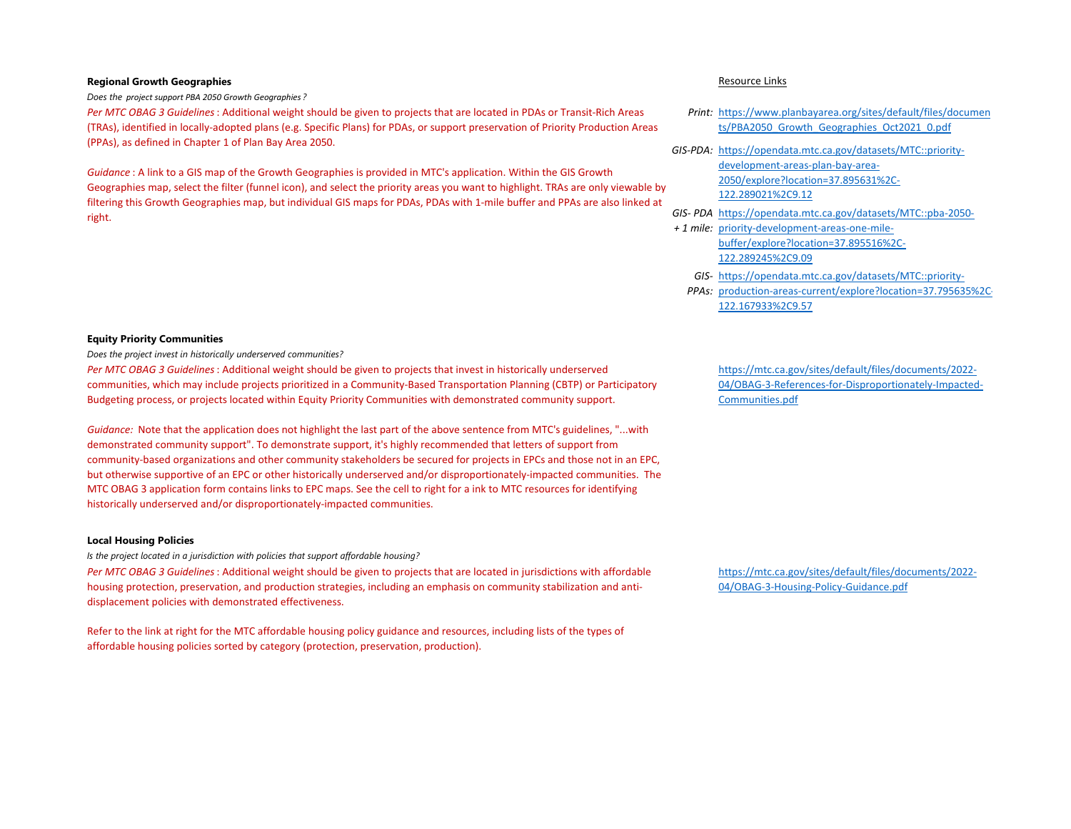# **Regional Growth Geographies Resource Links**

*Does the project support PBA 2050 Growth Geographies ?*

*Per MTC OBAG 3 Guidelines*: Additional weight should be given to projects that are located in PDAs or Transit-Rich Areas (TRAs), identified in locally-adopted plans (e.g. Specific Plans) for PDAs, or support preservation of Priority Production Areas (PPAs), as defined in Chapter 1 of Plan Bay Area 2050.

*Guidance* : A link to a GIS map of the Growth Geographies is provided in MTC's application. Within the GIS Growth Geographies map, select the filter (funnel icon), and select the priority areas you want to highlight. TRAs are only viewable by filtering this Growth Geographies map, but individual GIS maps for PDAs, PDAs with 1-mile buffer and PPAs are also linked at right.

# **Equity Priority Communities**

*Does the project invest in historically underserved communities?*

*Per MTC OBAG 3 Guidelines*: Additional weight should be given to projects that invest in historically underserved communities, which may include projects prioritized in a Community-Based Transportation Planning (CBTP) or Participatory Budgeting process, or projects located within Equity Priority Communities with demonstrated community support.

*Guidance:* Note that the application does not highlight the last part of the above sentence from MTC's guidelines, "...with demonstrated community support". To demonstrate support, it's highly recommended that letters of support from community-based organizations and other community stakeholders be secured for projects in EPCs and those not in an EPC, but otherwise supportive of an EPC or other historically underserved and/or disproportionately-impacted communities. The MTC OBAG 3 application form contains links to EPC maps. See the cell to right for a ink to MTC resources for identifying historically underserved and/or disproportionately-impacted communities.

## **Local Housing Policies**

*Is the project located in a jurisdiction with policies that support affordable housing?*

*Per MTC OBAG 3 Guidelines*: Additional weight should be given to projects that are located in jurisdictions with affordable housing protection, preservation, and production strategies, including an emphasis on community stabilization and antidisplacement policies with demonstrated effectiveness.

Refer to the link at right for the MTC affordable housing policy guidance and resources, including lists of the types of affordable housing policies sorted by category (protection, preservation, production).

- *Print:* [https://www.planbayarea.org/sites/default/files/documen](https://www.planbayarea.org/sites/default/files/documents/PBA2050_Growth_Geographies_Oct2021_0.pdf) [ts/PBA2050\\_Growth\\_Geographies\\_Oct2021\\_0.pdf](https://www.planbayarea.org/sites/default/files/documents/PBA2050_Growth_Geographies_Oct2021_0.pdf)
- *GIS-PDA:* [https://opendata.mtc.ca.gov/datasets/MTC::priority](https://opendata.mtc.ca.gov/datasets/MTC::priority-development-areas-plan-bay-area-2050/explore?location=37.895631%2C-122.289021%2C9.12)[development-areas-plan-bay-area-](https://opendata.mtc.ca.gov/datasets/MTC::priority-development-areas-plan-bay-area-2050/explore?location=37.895631%2C-122.289021%2C9.12)[2050/explore?location=37.895631%2C-](https://opendata.mtc.ca.gov/datasets/MTC::priority-development-areas-plan-bay-area-2050/explore?location=37.895631%2C-122.289021%2C9.12)[122.289021%2C9.12](https://opendata.mtc.ca.gov/datasets/MTC::priority-development-areas-plan-bay-area-2050/explore?location=37.895631%2C-122.289021%2C9.12)
- *GIS- PDA*  [https://opendata.mtc.ca.gov/datasets/MTC::pba-2050-](https://opendata.mtc.ca.gov/datasets/MTC::pba-2050-priority-development-areas-one-mile-buffer/explore?location=37.895516%2C-122.289245%2C9.09)
- *+ 1 mile:* [priority-development-areas-one-mile](https://opendata.mtc.ca.gov/datasets/MTC::pba-2050-priority-development-areas-one-mile-buffer/explore?location=37.895516%2C-122.289245%2C9.09)[buffer/explore?location=37.895516%2C-](https://opendata.mtc.ca.gov/datasets/MTC::pba-2050-priority-development-areas-one-mile-buffer/explore?location=37.895516%2C-122.289245%2C9.09)[122.289245%2C9.09](https://opendata.mtc.ca.gov/datasets/MTC::pba-2050-priority-development-areas-one-mile-buffer/explore?location=37.895516%2C-122.289245%2C9.09)
	- *GIS-*[https://opendata.mtc.ca.gov/datasets/MTC::priority-](https://opendata.mtc.ca.gov/datasets/MTC::priority-production-areas-current/explore?location=37.795635%2C-122.167933%2C9.57)
	- *PPAs:*  [production-areas-current/explore?location=37.795635%2C-](https://opendata.mtc.ca.gov/datasets/MTC::priority-production-areas-current/explore?location=37.795635%2C-122.167933%2C9.57)[122.167933%2C9.57](https://opendata.mtc.ca.gov/datasets/MTC::priority-production-areas-current/explore?location=37.795635%2C-122.167933%2C9.57)

[https://mtc.ca.gov/sites/default/files/documents/2022-](https://mtc.ca.gov/sites/default/files/documents/2022-04/OBAG-3-References-for-Disproportionately-Impacted-Communities.pdf) [04/OBAG-3-References-for-Disproportionately-Impacted-](https://mtc.ca.gov/sites/default/files/documents/2022-04/OBAG-3-References-for-Disproportionately-Impacted-Communities.pdf)[Communities.pdf](https://mtc.ca.gov/sites/default/files/documents/2022-04/OBAG-3-References-for-Disproportionately-Impacted-Communities.pdf)

[https://mtc.ca.gov/sites/default/files/documents/2022-](https://mtc.ca.gov/sites/default/files/documents/2022-04/OBAG-3-Housing-Policy-Guidance.pdf) [04/OBAG-3-Housing-Policy-Guidance.pdf](https://mtc.ca.gov/sites/default/files/documents/2022-04/OBAG-3-Housing-Policy-Guidance.pdf)